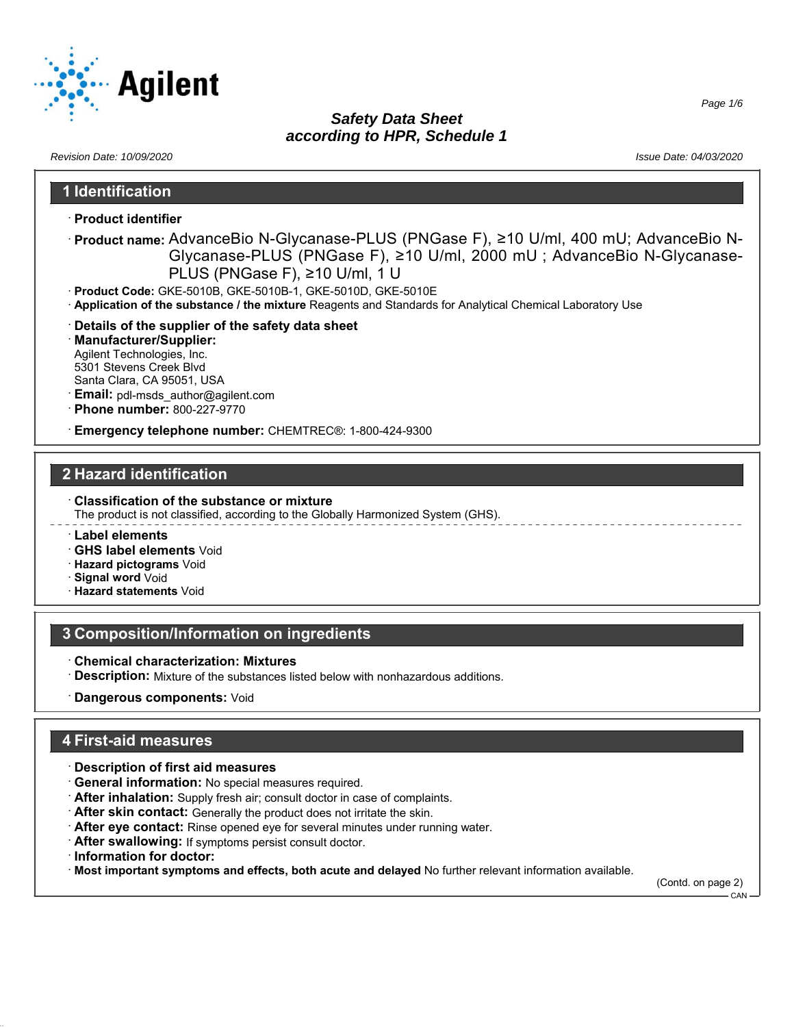

*Revision Date: 10/09/2020 Issue Date: 04/03/2020*

## **1 Identification**

- · **Product identifier**
- · **Product name:** AdvanceBio N-Glycanase-PLUS (PNGase F), ≥10 U/ml, 400 mU; AdvanceBio N-Glycanase-PLUS (PNGase F), ≥10 U/ml, 2000 mU ; AdvanceBio N-Glycanase-PLUS (PNGase F), ≥10 U/ml, 1 U
- · **Product Code:** GKE-5010B, GKE-5010B-1, GKE-5010D, GKE-5010E
- · **Application of the substance / the mixture** Reagents and Standards for Analytical Chemical Laboratory Use
- · **Details of the supplier of the safety data sheet**
- · **Manufacturer/Supplier:** Agilent Technologies, Inc. 5301 Stevens Creek Blvd Santa Clara, CA 95051, USA
- **Email:** pdl-msds\_author@agilent.com
- · **Phone number:** 800-227-9770
- · **Emergency telephone number:** CHEMTREC®: 1-800-424-9300

## **2 Hazard identification**

- · **Classification of the substance or mixture** The product is not classified, according to the Globally Harmonized System (GHS).
- · **Label elements**
- · **GHS label elements** Void
- · **Hazard pictograms** Void
- · **Signal word** Void
- · **Hazard statements** Void

## **3 Composition/Information on ingredients**

- · **Chemical characterization: Mixtures**
- · **Description:** Mixture of the substances listed below with nonhazardous additions.
- · **Dangerous components:** Void

## **4 First-aid measures**

- · **Description of first aid measures**
- · **General information:** No special measures required.
- · **After inhalation:** Supply fresh air; consult doctor in case of complaints.
- · **After skin contact:** Generally the product does not irritate the skin.
- · **After eye contact:** Rinse opened eye for several minutes under running water.
- · **After swallowing:** If symptoms persist consult doctor.
- · **Information for doctor:**
- · **Most important symptoms and effects, both acute and delayed** No further relevant information available.

(Contd. on page 2) CAN

*Page 1/6*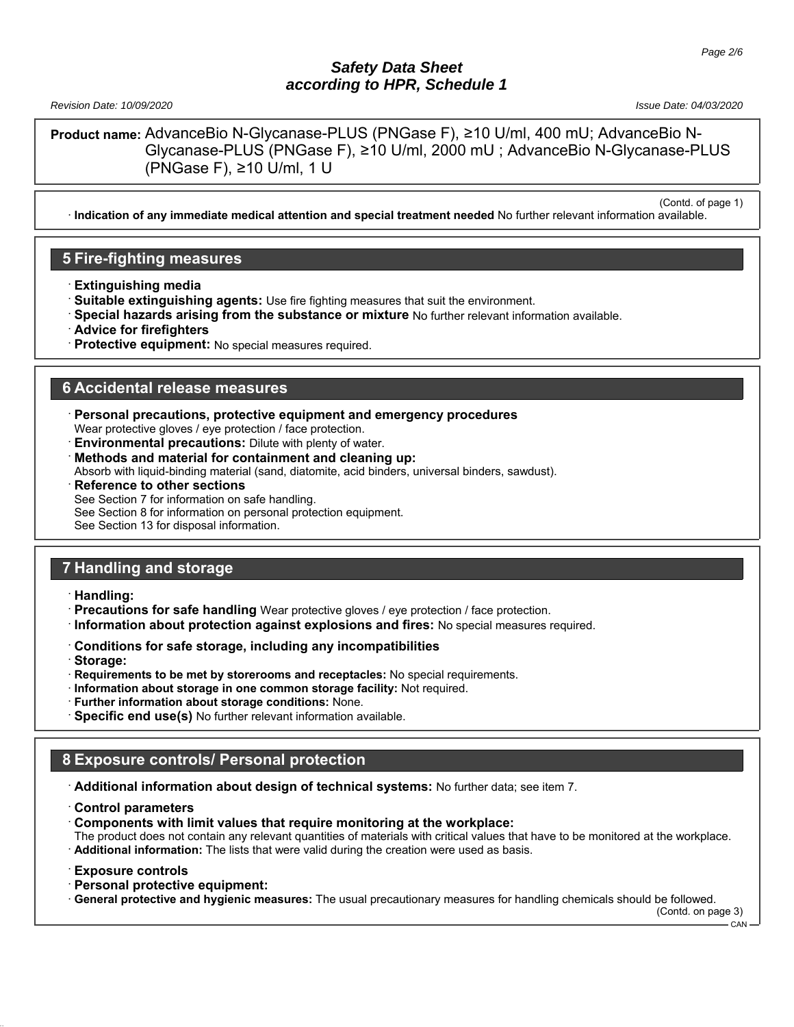*Revision Date: 10/09/2020 Issue Date: 04/03/2020*

(Contd. of page 1)

**Product name:** AdvanceBio N-Glycanase-PLUS (PNGase F), ≥10 U/ml, 400 mU; AdvanceBio N-Glycanase-PLUS (PNGase F), ≥10 U/ml, 2000 mU ; AdvanceBio N-Glycanase-PLUS (PNGase F), ≥10 U/ml, 1 U

· **Indication of any immediate medical attention and special treatment needed** No further relevant information available.

## **5 Fire-fighting measures**

- · **Extinguishing media**
- · **Suitable extinguishing agents:** Use fire fighting measures that suit the environment.
- · **Special hazards arising from the substance or mixture** No further relevant information available.
- · **Advice for firefighters**
- **Protective equipment:** No special measures required.

## **6 Accidental release measures**

- · **Personal precautions, protective equipment and emergency procedures** Wear protective gloves / eye protection / face protection.
- **Environmental precautions:** Dilute with plenty of water.
- · **Methods and material for containment and cleaning up:**
- Absorb with liquid-binding material (sand, diatomite, acid binders, universal binders, sawdust).
- **Reference to other sections**

See Section 7 for information on safe handling.

See Section 8 for information on personal protection equipment.

See Section 13 for disposal information.

## **7 Handling and storage**

- · **Handling:**
- · **Precautions for safe handling** Wear protective gloves / eye protection / face protection.
- · **Information about protection against explosions and fires:** No special measures required.
- · **Conditions for safe storage, including any incompatibilities**
- · **Storage:**
- · **Requirements to be met by storerooms and receptacles:** No special requirements.
- · **Information about storage in one common storage facility:** Not required.
- · **Further information about storage conditions:** None.
- · **Specific end use(s)** No further relevant information available.

## **8 Exposure controls/ Personal protection**

· **Additional information about design of technical systems:** No further data; see item 7.

- · **Control parameters**
- · **Components with limit values that require monitoring at the workplace:**

The product does not contain any relevant quantities of materials with critical values that have to be monitored at the workplace. · **Additional information:** The lists that were valid during the creation were used as basis.

- · **Exposure controls**
- · **Personal protective equipment:**
- · **General protective and hygienic measures:** The usual precautionary measures for handling chemicals should be followed.

(Contd. on page 3)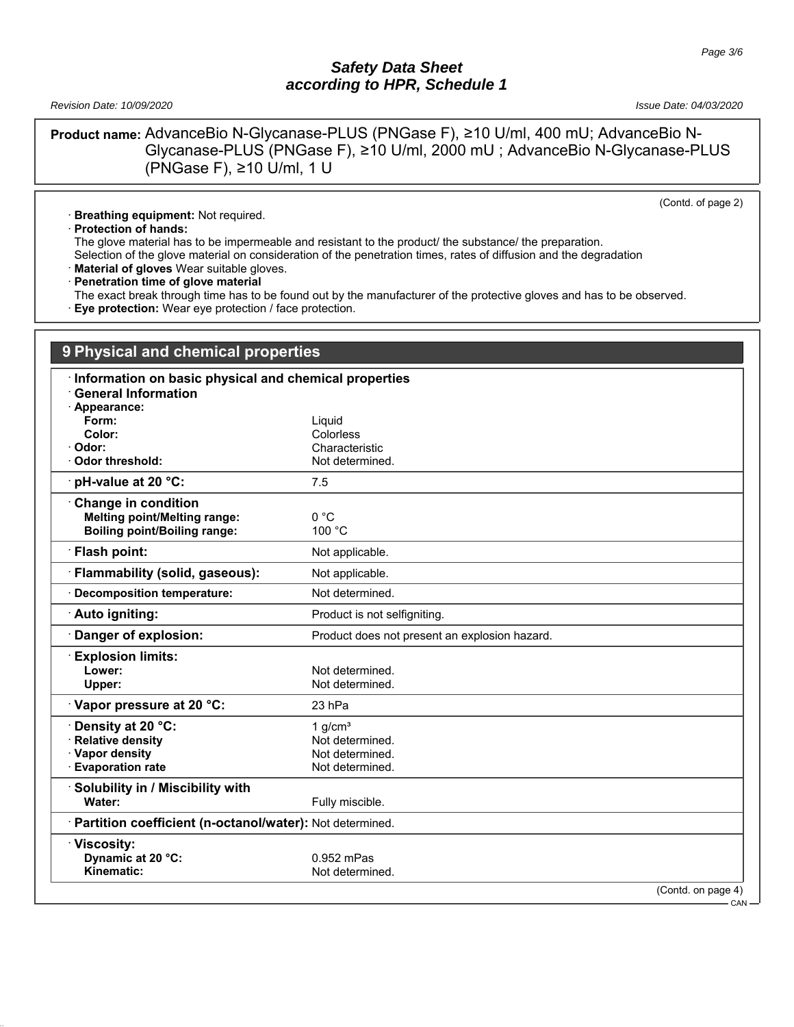*Revision Date: 10/09/2020 Issue Date: 04/03/2020*

**Product name:** AdvanceBio N-Glycanase-PLUS (PNGase F), ≥10 U/ml, 400 mU; AdvanceBio N-Glycanase-PLUS (PNGase F), ≥10 U/ml, 2000 mU ; AdvanceBio N-Glycanase-PLUS (PNGase F), ≥10 U/ml, 1 U

(Contd. of page 2)

· **Breathing equipment:** Not required.

· **Protection of hands:**

The glove material has to be impermeable and resistant to the product/ the substance/ the preparation.

Selection of the glove material on consideration of the penetration times, rates of diffusion and the degradation

· **Material of gloves** Wear suitable gloves.

· **Penetration time of glove material**

The exact break through time has to be found out by the manufacturer of the protective gloves and has to be observed.

· **Eye protection:** Wear eye protection / face protection.

| 9 Physical and chemical properties                       |                                               |
|----------------------------------------------------------|-----------------------------------------------|
| Information on basic physical and chemical properties    |                                               |
| <b>General Information</b>                               |                                               |
| · Appearance:                                            |                                               |
| Form:                                                    | Liquid                                        |
| Color:                                                   | Colorless                                     |
| Odor:                                                    | Characteristic                                |
| Odor threshold:                                          | Not determined.                               |
| pH-value at 20 °C:                                       | 7.5                                           |
| <b>Change in condition</b>                               |                                               |
| <b>Melting point/Melting range:</b>                      | 0 °C                                          |
| <b>Boiling point/Boiling range:</b>                      | 100 °C                                        |
| <b>Flash point:</b>                                      | Not applicable.                               |
| <b>Flammability (solid, gaseous):</b>                    | Not applicable.                               |
| <b>Decomposition temperature:</b>                        | Not determined.                               |
| Auto igniting:                                           | Product is not selfigniting.                  |
| Danger of explosion:                                     | Product does not present an explosion hazard. |
| <b>Explosion limits:</b>                                 |                                               |
| Lower:                                                   | Not determined.                               |
| Upper:                                                   | Not determined.                               |
| Vapor pressure at 20 °C:                                 | 23 hPa                                        |
| Density at 20 °C:                                        | 1 $q/cm3$                                     |
| <b>Relative density</b>                                  | Not determined.                               |
| · Vapor density                                          | Not determined.                               |
| <b>Evaporation rate</b>                                  | Not determined.                               |
| Solubility in / Miscibility with                         |                                               |
| Water:                                                   | Fully miscible.                               |
| Partition coefficient (n-octanol/water): Not determined. |                                               |
| Viscosity:                                               |                                               |
| Dynamic at 20 °C:                                        | 0.952 mPas                                    |
| Kinematic:                                               | Not determined.                               |
|                                                          | (Contd. on page 4)                            |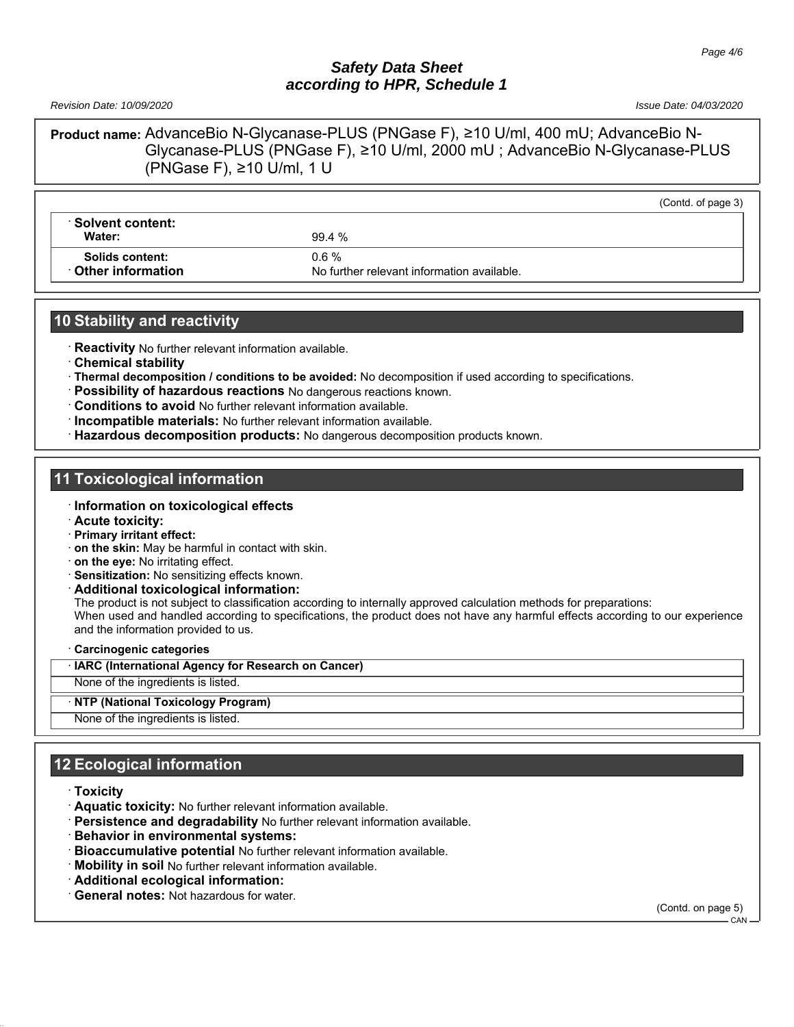*Revision Date: 10/09/2020 Issue Date: 04/03/2020*

(Contd. of page 3)

**Product name:** AdvanceBio N-Glycanase-PLUS (PNGase F), ≥10 U/ml, 400 mU; AdvanceBio N-Glycanase-PLUS (PNGase F), ≥10 U/ml, 2000 mU ; AdvanceBio N-Glycanase-PLUS (PNGase F), ≥10 U/ml, 1 U

#### · **Solvent content: Water:** 99.4 %

**Solids content:** 0.6 %

**Other information** No further relevant information available.

# **10 Stability and reactivity**

· **Reactivity** No further relevant information available.

- · **Chemical stability**
- · **Thermal decomposition / conditions to be avoided:** No decomposition if used according to specifications.
- · **Possibility of hazardous reactions** No dangerous reactions known.
- · **Conditions to avoid** No further relevant information available.
- · **Incompatible materials:** No further relevant information available.
- · **Hazardous decomposition products:** No dangerous decomposition products known.

#### **11 Toxicological information**

#### · **Information on toxicological effects**

- · **Acute toxicity:**
- · **Primary irritant effect:**
- · **on the skin:** May be harmful in contact with skin.
- · **on the eye:** No irritating effect.
- · **Sensitization:** No sensitizing effects known.
- · **Additional toxicological information:**

The product is not subject to classification according to internally approved calculation methods for preparations: When used and handled according to specifications, the product does not have any harmful effects according to our experience and the information provided to us.

#### · **Carcinogenic categories**

· **IARC (International Agency for Research on Cancer)**

None of the ingredients is listed.

· **NTP (National Toxicology Program)**

None of the ingredients is listed.

## **12 Ecological information**

- · **Toxicity**
- · **Aquatic toxicity:** No further relevant information available.
- · **Persistence and degradability** No further relevant information available.
- · **Behavior in environmental systems:**
- · **Bioaccumulative potential** No further relevant information available.
- **Mobility in soil** No further relevant information available.
- · **Additional ecological information:**
- General notes: Not hazardous for water.

(Contd. on page 5)

CAN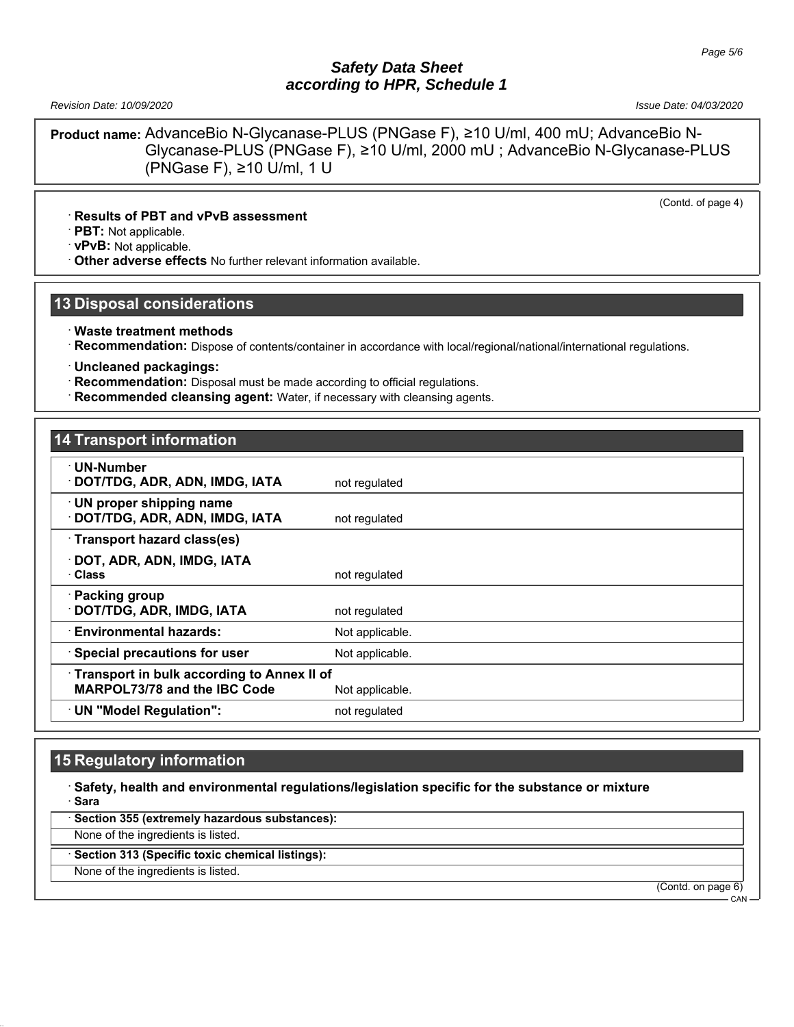*Revision Date: 10/09/2020 Issue Date: 04/03/2020*

**Product name:** AdvanceBio N-Glycanase-PLUS (PNGase F), ≥10 U/ml, 400 mU; AdvanceBio N-Glycanase-PLUS (PNGase F), ≥10 U/ml, 2000 mU ; AdvanceBio N-Glycanase-PLUS (PNGase F), ≥10 U/ml, 1 U

(Contd. of page 4)

#### · **Results of PBT and vPvB assessment**

· **PBT:** Not applicable.

· **vPvB:** Not applicable.

· **Other adverse effects** No further relevant information available.

## **13 Disposal considerations**

- · **Waste treatment methods**
- · **Recommendation:** Dispose of contents/container in accordance with local/regional/national/international regulations.

· **Uncleaned packagings:**

- · **Recommendation:** Disposal must be made according to official regulations.
- **Recommended cleansing agent:** Water, if necessary with cleansing agents.

## **14 Transport information**

| · UN-Number                                       |                 |  |
|---------------------------------------------------|-----------------|--|
| <b>DOT/TDG, ADR, ADN, IMDG, IATA</b>              | not regulated   |  |
| · UN proper shipping name                         |                 |  |
| DOT/TDG, ADR, ADN, IMDG, IATA                     | not regulated   |  |
| Transport hazard class(es)                        |                 |  |
| DOT, ADR, ADN, IMDG, IATA                         |                 |  |
| · Class                                           | not regulated   |  |
| · Packing group                                   |                 |  |
| DOT/TDG, ADR, IMDG, IATA                          | not regulated   |  |
| <b>Environmental hazards:</b>                     | Not applicable. |  |
| · Special precautions for user                    | Not applicable. |  |
| <b>Transport in bulk according to Annex II of</b> |                 |  |
| <b>MARPOL73/78 and the IBC Code</b>               | Not applicable. |  |
| UN "Model Regulation":                            | not regulated   |  |

#### **15 Regulatory information**

· **Safety, health and environmental regulations/legislation specific for the substance or mixture** · **Sara**

Section 355 (extremely hazardous substances):

None of the ingredients is listed.

· **Section 313 (Specific toxic chemical listings):**

None of the ingredients is listed.

(Contd. on page 6)

CAN